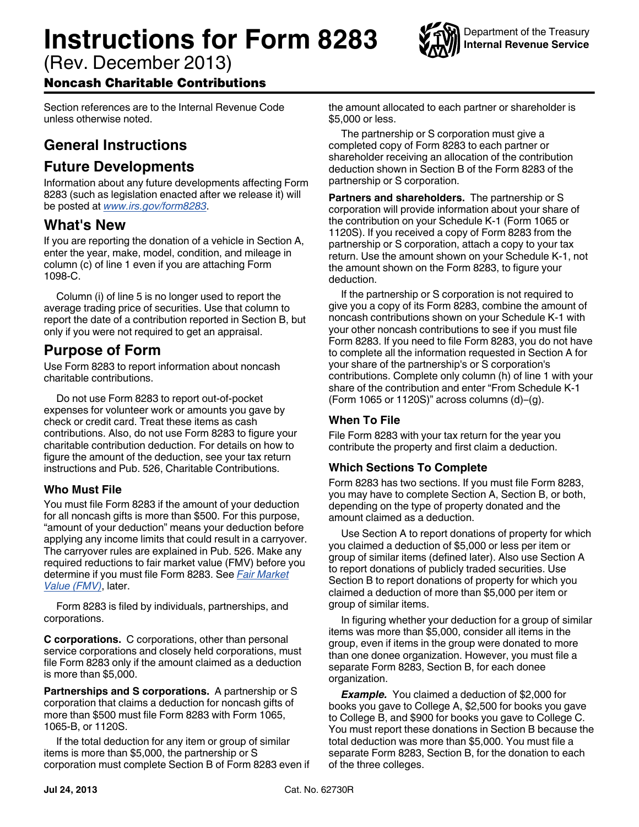# **Instructions for Form 8283**

(Rev. December 2013)

# Noncash Charitable Contributions

Section references are to the Internal Revenue Code unless otherwise noted.

# **General Instructions**

# **Future Developments**

Information about any future developments affecting Form 8283 (such as legislation enacted after we release it) will be posted at *[www.irs.gov/form8283](http://www.irs.gov/form8283)*.

# **What's New**

If you are reporting the donation of a vehicle in Section A, enter the year, make, model, condition, and mileage in column (c) of line 1 even if you are attaching Form 1098-C.

Column (i) of line 5 is no longer used to report the average trading price of securities. Use that column to report the date of a contribution reported in Section B, but only if you were not required to get an appraisal.

# **Purpose of Form**

Use Form 8283 to report information about noncash charitable contributions.

Do not use Form 8283 to report out-of-pocket expenses for volunteer work or amounts you gave by check or credit card. Treat these items as cash contributions. Also, do not use Form 8283 to figure your charitable contribution deduction. For details on how to figure the amount of the deduction, see your tax return instructions and Pub. 526, Charitable Contributions.

# **Who Must File**

You must file Form 8283 if the amount of your deduction for all noncash gifts is more than \$500. For this purpose, "amount of your deduction" means your deduction before applying any income limits that could result in a carryover. The carryover rules are explained in Pub. 526. Make any required reductions to fair market value (FMV) before you determine if you must file Form 8283. See *[Fair Market](#page-1-0)  [Value \(FMV\)](#page-1-0)*, later.

Form 8283 is filed by individuals, partnerships, and corporations.

**C corporations.** C corporations, other than personal service corporations and closely held corporations, must file Form 8283 only if the amount claimed as a deduction is more than \$5,000.

**Partnerships and S corporations.** A partnership or S corporation that claims a deduction for noncash gifts of more than \$500 must file Form 8283 with Form 1065, 1065-B, or 1120S.

If the total deduction for any item or group of similar items is more than \$5,000, the partnership or S corporation must complete Section B of Form 8283 even if the amount allocated to each partner or shareholder is \$5,000 or less.

The partnership or S corporation must give a completed copy of Form 8283 to each partner or shareholder receiving an allocation of the contribution deduction shown in Section B of the Form 8283 of the partnership or S corporation.

**Partners and shareholders.** The partnership or S corporation will provide information about your share of the contribution on your Schedule K-1 (Form 1065 or 1120S). If you received a copy of Form 8283 from the partnership or S corporation, attach a copy to your tax return. Use the amount shown on your Schedule K-1, not the amount shown on the Form 8283, to figure your deduction.

If the partnership or S corporation is not required to give you a copy of its Form 8283, combine the amount of noncash contributions shown on your Schedule K-1 with your other noncash contributions to see if you must file Form 8283. If you need to file Form 8283, you do not have to complete all the information requested in Section A for your share of the partnership's or S corporation's contributions. Complete only column (h) of line 1 with your share of the contribution and enter "From Schedule K-1 (Form 1065 or 1120S)" across columns (d)–(g).

# **When To File**

File Form 8283 with your tax return for the year you contribute the property and first claim a deduction.

# **Which Sections To Complete**

Form 8283 has two sections. If you must file Form 8283, you may have to complete Section A, Section B, or both, depending on the type of property donated and the amount claimed as a deduction.

Use Section A to report donations of property for which you claimed a deduction of \$5,000 or less per item or group of similar items (defined later). Also use Section A to report donations of publicly traded securities. Use Section B to report donations of property for which you claimed a deduction of more than \$5,000 per item or group of similar items.

In figuring whether your deduction for a group of similar items was more than \$5,000, consider all items in the group, even if items in the group were donated to more than one donee organization. However, you must file a separate Form 8283, Section B, for each donee organization.

*Example.* You claimed a deduction of \$2,000 for books you gave to College A, \$2,500 for books you gave to College B, and \$900 for books you gave to College C. You must report these donations in Section B because the total deduction was more than \$5,000. You must file a separate Form 8283, Section B, for the donation to each of the three colleges.

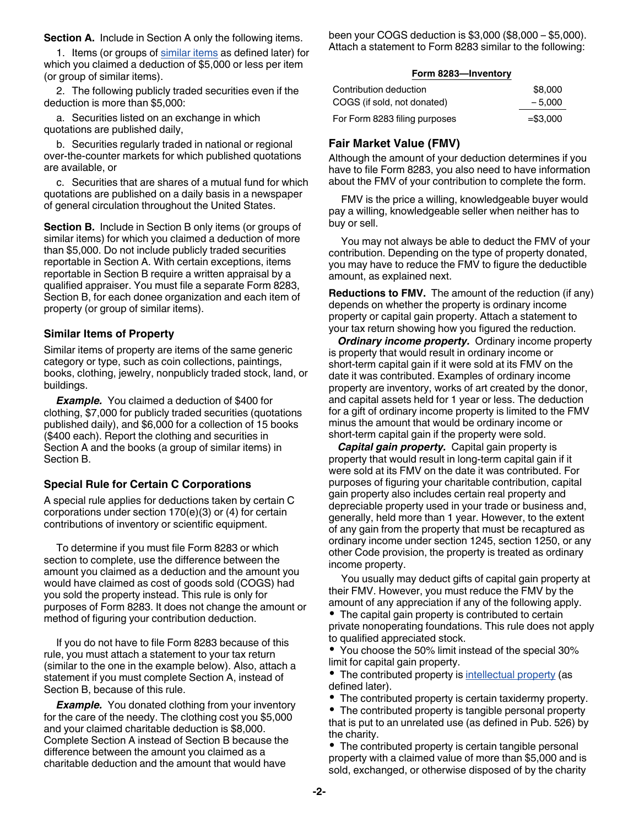<span id="page-1-0"></span>**Section A.** Include in Section A only the following items.

1. Items (or groups of similar items as defined later) for which you claimed a deduction of \$5,000 or less per item (or group of similar items).

2. The following publicly traded securities even if the deduction is more than \$5,000:

a. Securities listed on an exchange in which quotations are published daily,

b. Securities regularly traded in national or regional over-the-counter markets for which published quotations are available, or

c. Securities that are shares of a mutual fund for which quotations are published on a daily basis in a newspaper of general circulation throughout the United States.

**Section B.** Include in Section B only items (or groups of similar items) for which you claimed a deduction of more than \$5,000. Do not include publicly traded securities reportable in Section A. With certain exceptions, items reportable in Section B require a written appraisal by a qualified appraiser. You must file a separate Form 8283, Section B, for each donee organization and each item of property (or group of similar items).

#### **Similar Items of Property**

Similar items of property are items of the same generic category or type, such as coin collections, paintings, books, clothing, jewelry, nonpublicly traded stock, land, or buildings.

*Example.* You claimed a deduction of \$400 for clothing, \$7,000 for publicly traded securities (quotations published daily), and \$6,000 for a collection of 15 books (\$400 each). Report the clothing and securities in Section A and the books (a group of similar items) in Section B.

### **Special Rule for Certain C Corporations**

A special rule applies for deductions taken by certain C corporations under section 170(e)(3) or (4) for certain contributions of inventory or scientific equipment.

To determine if you must file Form 8283 or which section to complete, use the difference between the amount you claimed as a deduction and the amount you would have claimed as cost of goods sold (COGS) had you sold the property instead. This rule is only for purposes of Form 8283. It does not change the amount or method of figuring your contribution deduction.

If you do not have to file Form 8283 because of this rule, you must attach a statement to your tax return (similar to the one in the example below). Also, attach a statement if you must complete Section A, instead of Section B, because of this rule.

**Example.** You donated clothing from your inventory for the care of the needy. The clothing cost you \$5,000 and your claimed charitable deduction is \$8,000. Complete Section A instead of Section B because the difference between the amount you claimed as a charitable deduction and the amount that would have

been your COGS deduction is \$3,000 (\$8,000 – \$5,000). Attach a statement to Form 8283 similar to the following:

#### **Form 8283—Inventory**

| Contribution deduction        | \$8,000    |
|-------------------------------|------------|
| COGS (if sold, not donated)   | $-5.000$   |
| For Form 8283 filing purposes | $= $3.000$ |

## **Fair Market Value (FMV)**

Although the amount of your deduction determines if you have to file Form 8283, you also need to have information about the FMV of your contribution to complete the form.

FMV is the price a willing, knowledgeable buyer would pay a willing, knowledgeable seller when neither has to buy or sell.

You may not always be able to deduct the FMV of your contribution. Depending on the type of property donated, you may have to reduce the FMV to figure the deductible amount, as explained next.

**Reductions to FMV.** The amount of the reduction (if any) depends on whether the property is ordinary income property or capital gain property. Attach a statement to your tax return showing how you figured the reduction.

*Ordinary income property.* Ordinary income property is property that would result in ordinary income or short-term capital gain if it were sold at its FMV on the date it was contributed. Examples of ordinary income property are inventory, works of art created by the donor, and capital assets held for 1 year or less. The deduction for a gift of ordinary income property is limited to the FMV minus the amount that would be ordinary income or short-term capital gain if the property were sold.

*Capital gain property.* Capital gain property is property that would result in long-term capital gain if it were sold at its FMV on the date it was contributed. For purposes of figuring your charitable contribution, capital gain property also includes certain real property and depreciable property used in your trade or business and, generally, held more than 1 year. However, to the extent of any gain from the property that must be recaptured as ordinary income under section 1245, section 1250, or any other Code provision, the property is treated as ordinary income property.

You usually may deduct gifts of capital gain property at their FMV. However, you must reduce the FMV by the amount of any appreciation if any of the following apply. The capital gain property is contributed to certain

private nonoperating foundations. This rule does not apply to qualified appreciated stock.

You choose the 50% limit instead of the special 30% limit for capital gain property.

• The contributed property is [intellectual property](#page-2-0) (as defined later).

The contributed property is certain taxidermy property.

The contributed property is tangible personal property that is put to an unrelated use (as defined in Pub. 526) by the charity.

• The contributed property is certain tangible personal property with a claimed value of more than \$5,000 and is sold, exchanged, or otherwise disposed of by the charity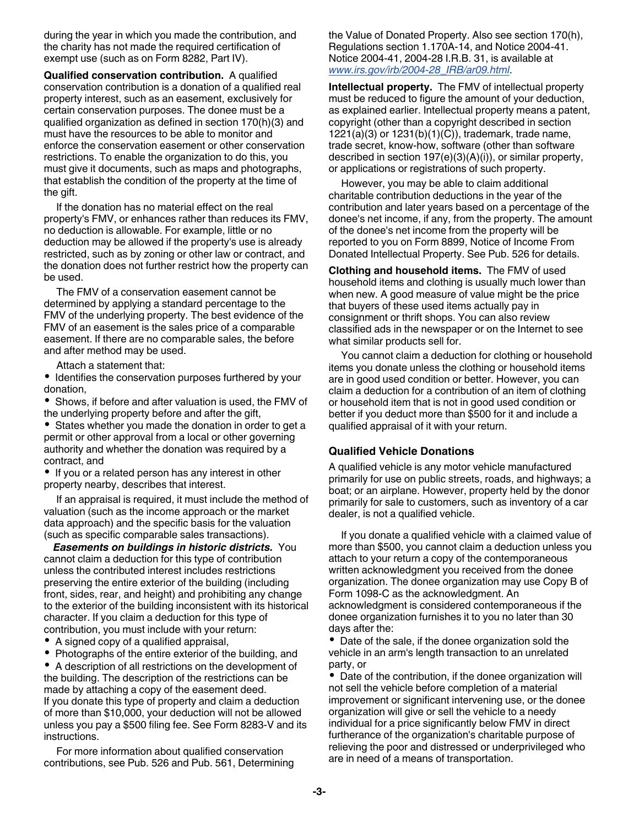<span id="page-2-0"></span>during the year in which you made the contribution, and the charity has not made the required certification of exempt use (such as on Form 8282, Part IV).

**Qualified conservation contribution.** A qualified conservation contribution is a donation of a qualified real property interest, such as an easement, exclusively for certain conservation purposes. The donee must be a qualified organization as defined in section 170(h)(3) and must have the resources to be able to monitor and enforce the conservation easement or other conservation restrictions. To enable the organization to do this, you must give it documents, such as maps and photographs, that establish the condition of the property at the time of the gift.

If the donation has no material effect on the real property's FMV, or enhances rather than reduces its FMV, no deduction is allowable. For example, little or no deduction may be allowed if the property's use is already restricted, such as by zoning or other law or contract, and the donation does not further restrict how the property can be used.

The FMV of a conservation easement cannot be determined by applying a standard percentage to the FMV of the underlying property. The best evidence of the FMV of an easement is the sales price of a comparable easement. If there are no comparable sales, the before and after method may be used.

Attach a statement that:

• Identifies the conservation purposes furthered by your donation,

Shows, if before and after valuation is used, the FMV of the underlying property before and after the gift,

• States whether you made the donation in order to get a permit or other approval from a local or other governing authority and whether the donation was required by a contract, and

• If you or a related person has any interest in other property nearby, describes that interest.

If an appraisal is required, it must include the method of valuation (such as the income approach or the market data approach) and the specific basis for the valuation (such as specific comparable sales transactions).

*Easements on buildings in historic districts.* You cannot claim a deduction for this type of contribution unless the contributed interest includes restrictions preserving the entire exterior of the building (including front, sides, rear, and height) and prohibiting any change to the exterior of the building inconsistent with its historical character. If you claim a deduction for this type of contribution, you must include with your return:

A signed copy of a qualified appraisal,

• Photographs of the entire exterior of the building, and

٠ A description of all restrictions on the development of the building. The description of the restrictions can be made by attaching a copy of the easement deed. If you donate this type of property and claim a deduction of more than \$10,000, your deduction will not be allowed unless you pay a \$500 filing fee. See Form 8283-V and its instructions.

For more information about qualified conservation contributions, see Pub. 526 and Pub. 561, Determining the Value of Donated Property. Also see section 170(h), Regulations section 1.170A-14, and Notice 2004-41. Notice 2004-41, 2004-28 I.R.B. 31, is available at *[www.irs.gov/irb/2004-28\\_IRB/ar09.html](http://www.irs.gov/irb/2004-28_IRB/ar09.html)*.

**Intellectual property.** The FMV of intellectual property must be reduced to figure the amount of your deduction, as explained earlier. Intellectual property means a patent, copyright (other than a copyright described in section 1221(a)(3) or 1231(b)(1)(C)), trademark, trade name, trade secret, know-how, software (other than software described in section 197(e)(3)(A)(i)), or similar property, or applications or registrations of such property.

However, you may be able to claim additional charitable contribution deductions in the year of the contribution and later years based on a percentage of the donee's net income, if any, from the property. The amount of the donee's net income from the property will be reported to you on Form 8899, Notice of Income From Donated Intellectual Property. See Pub. 526 for details.

**Clothing and household items.** The FMV of used household items and clothing is usually much lower than when new. A good measure of value might be the price that buyers of these used items actually pay in consignment or thrift shops. You can also review classified ads in the newspaper or on the Internet to see what similar products sell for.

You cannot claim a deduction for clothing or household items you donate unless the clothing or household items are in good used condition or better. However, you can claim a deduction for a contribution of an item of clothing or household item that is not in good used condition or better if you deduct more than \$500 for it and include a qualified appraisal of it with your return.

### **Qualified Vehicle Donations**

A qualified vehicle is any motor vehicle manufactured primarily for use on public streets, roads, and highways; a boat; or an airplane. However, property held by the donor primarily for sale to customers, such as inventory of a car dealer, is not a qualified vehicle.

If you donate a qualified vehicle with a claimed value of more than \$500, you cannot claim a deduction unless you attach to your return a copy of the contemporaneous written acknowledgment you received from the donee organization. The donee organization may use Copy B of Form 1098-C as the acknowledgment. An acknowledgment is considered contemporaneous if the donee organization furnishes it to you no later than 30 days after the:

• Date of the sale, if the donee organization sold the vehicle in an arm's length transaction to an unrelated party, or

Date of the contribution, if the donee organization will not sell the vehicle before completion of a material improvement or significant intervening use, or the donee organization will give or sell the vehicle to a needy individual for a price significantly below FMV in direct furtherance of the organization's charitable purpose of relieving the poor and distressed or underprivileged who are in need of a means of transportation.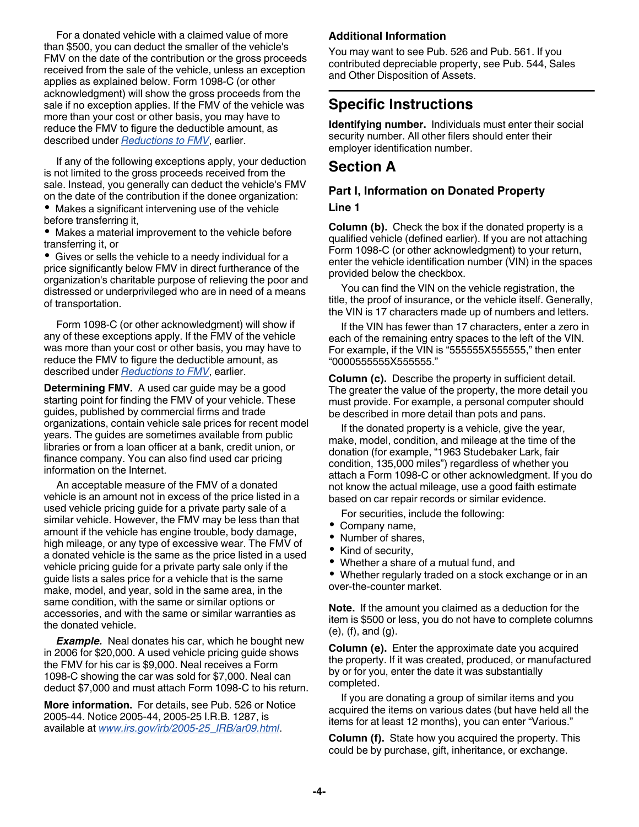For a donated vehicle with a claimed value of more than \$500, you can deduct the smaller of the vehicle's FMV on the date of the contribution or the gross proceeds received from the sale of the vehicle, unless an exception applies as explained below. Form 1098-C (or other acknowledgment) will show the gross proceeds from the sale if no exception applies. If the FMV of the vehicle was more than your cost or other basis, you may have to reduce the FMV to figure the deductible amount, as described under *[Reductions to FMV](#page-1-0)*, earlier.

If any of the following exceptions apply, your deduction is not limited to the gross proceeds received from the sale. Instead, you generally can deduct the vehicle's FMV on the date of the contribution if the donee organization: Makes a significant intervening use of the vehicle

before transferring it,

Makes a material improvement to the vehicle before transferring it, or

Gives or sells the vehicle to a needy individual for a price significantly below FMV in direct furtherance of the organization's charitable purpose of relieving the poor and distressed or underprivileged who are in need of a means of transportation.

Form 1098-C (or other acknowledgment) will show if any of these exceptions apply. If the FMV of the vehicle was more than your cost or other basis, you may have to reduce the FMV to figure the deductible amount, as described under *[Reductions to FMV](#page-1-0)*, earlier.

**Determining FMV.** A used car guide may be a good starting point for finding the FMV of your vehicle. These guides, published by commercial firms and trade organizations, contain vehicle sale prices for recent model years. The guides are sometimes available from public libraries or from a loan officer at a bank, credit union, or finance company. You can also find used car pricing information on the Internet.

An acceptable measure of the FMV of a donated vehicle is an amount not in excess of the price listed in a used vehicle pricing guide for a private party sale of a similar vehicle. However, the FMV may be less than that amount if the vehicle has engine trouble, body damage, high mileage, or any type of excessive wear. The FMV of a donated vehicle is the same as the price listed in a used vehicle pricing guide for a private party sale only if the guide lists a sales price for a vehicle that is the same make, model, and year, sold in the same area, in the same condition, with the same or similar options or accessories, and with the same or similar warranties as the donated vehicle.

**Example.** Neal donates his car, which he bought new in 2006 for \$20,000. A used vehicle pricing guide shows the FMV for his car is \$9,000. Neal receives a Form 1098-C showing the car was sold for \$7,000. Neal can deduct \$7,000 and must attach Form 1098-C to his return.

**More information.** For details, see Pub. 526 or Notice 2005-44. Notice 2005-44, 2005-25 I.R.B. 1287, is available at *[www.irs.gov/irb/2005-25\\_IRB/ar09.html](http://www.irs.gov/irb/2005-25_IRB/ar09.html)*.

### **Additional Information**

You may want to see Pub. 526 and Pub. 561. If you contributed depreciable property, see Pub. 544, Sales and Other Disposition of Assets.

# **Specific Instructions**

**Identifying number.** Individuals must enter their social security number. All other filers should enter their employer identification number.

## **Section A**

## **Part I, Information on Donated Property**

#### **Line 1**

**Column (b).** Check the box if the donated property is a qualified vehicle (defined earlier). If you are not attaching Form 1098-C (or other acknowledgment) to your return, enter the vehicle identification number (VIN) in the spaces provided below the checkbox.

You can find the VIN on the vehicle registration, the title, the proof of insurance, or the vehicle itself. Generally, the VIN is 17 characters made up of numbers and letters.

If the VIN has fewer than 17 characters, enter a zero in each of the remaining entry spaces to the left of the VIN. For example, if the VIN is "555555X555555," then enter "0000555555X555555."

**Column (c).** Describe the property in sufficient detail. The greater the value of the property, the more detail you must provide. For example, a personal computer should be described in more detail than pots and pans.

If the donated property is a vehicle, give the year, make, model, condition, and mileage at the time of the donation (for example, "1963 Studebaker Lark, fair condition, 135,000 miles") regardless of whether you attach a Form 1098-C or other acknowledgment. If you do not know the actual mileage, use a good faith estimate based on car repair records or similar evidence.

For securities, include the following:

- Company name,
- Number of shares,
- $\bullet$ Kind of security,
- Whether a share of a mutual fund, and
- Whether regularly traded on a stock exchange or in an over-the-counter market.

**Note.** If the amount you claimed as a deduction for the item is \$500 or less, you do not have to complete columns (e), (f), and (g).

**Column (e).** Enter the approximate date you acquired the property. If it was created, produced, or manufactured by or for you, enter the date it was substantially completed.

If you are donating a group of similar items and you acquired the items on various dates (but have held all the items for at least 12 months), you can enter "Various."

**Column (f).** State how you acquired the property. This could be by purchase, gift, inheritance, or exchange.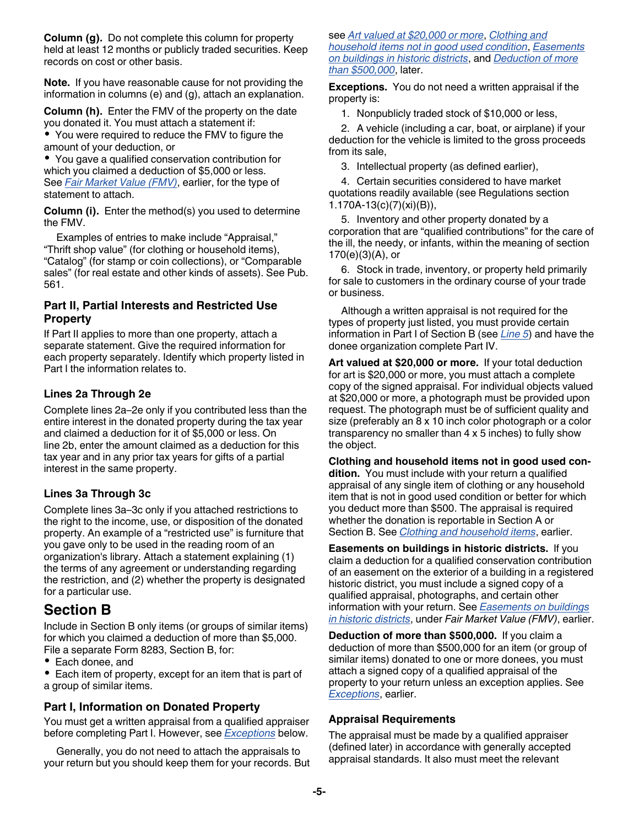**Column (g).** Do not complete this column for property held at least 12 months or publicly traded securities. Keep records on cost or other basis.

**Note.** If you have reasonable cause for not providing the information in columns (e) and (g), attach an explanation.

**Column (h).** Enter the FMV of the property on the date you donated it. You must attach a statement if:

You were required to reduce the FMV to figure the amount of your deduction, or

You gave a qualified conservation contribution for which you claimed a deduction of \$5,000 or less. See *[Fair Market Value \(FMV\)](#page-1-0)*, earlier, for the type of statement to attach.

**Column (i).** Enter the method(s) you used to determine the FMV.

Examples of entries to make include "Appraisal," "Thrift shop value" (for clothing or household items), "Catalog" (for stamp or coin collections), or "Comparable sales" (for real estate and other kinds of assets). See Pub. 561.

## **Part II, Partial Interests and Restricted Use Property**

If Part II applies to more than one property, attach a separate statement. Give the required information for each property separately. Identify which property listed in Part I the information relates to.

## **Lines 2a Through 2e**

Complete lines 2a–2e only if you contributed less than the entire interest in the donated property during the tax year and claimed a deduction for it of \$5,000 or less. On line 2b, enter the amount claimed as a deduction for this tax year and in any prior tax years for gifts of a partial interest in the same property.

## **Lines 3a Through 3c**

Complete lines 3a–3c only if you attached restrictions to the right to the income, use, or disposition of the donated property. An example of a "restricted use" is furniture that you gave only to be used in the reading room of an organization's library. Attach a statement explaining (1) the terms of any agreement or understanding regarding the restriction, and (2) whether the property is designated for a particular use.

# **Section B**

Include in Section B only items (or groups of similar items) for which you claimed a deduction of more than \$5,000. File a separate Form 8283, Section B, for:

- Each donee, and
- Each item of property, except for an item that is part of a group of similar items.

## **Part I, Information on Donated Property**

You must get a written appraisal from a qualified appraiser before completing Part I. However, see *Exceptions* below.

Generally, you do not need to attach the appraisals to your return but you should keep them for your records. But

#### see *Art valued at \$20,000 or more*, *Clothing and household items not in good used condition*, *Easements on buildings in historic districts*, and *Deduction of more than \$500,000*, later.

**Exceptions.** You do not need a written appraisal if the property is:

1. Nonpublicly traded stock of \$10,000 or less,

2. A vehicle (including a car, boat, or airplane) if your deduction for the vehicle is limited to the gross proceeds from its sale,

3. Intellectual property (as defined earlier),

4. Certain securities considered to have market quotations readily available (see Regulations section 1.170A-13(c)(7)(xi)(B)),

5. Inventory and other property donated by a corporation that are "qualified contributions" for the care of the ill, the needy, or infants, within the meaning of section 170(e)(3)(A), or

6. Stock in trade, inventory, or property held primarily for sale to customers in the ordinary course of your trade or business.

Although a written appraisal is not required for the types of property just listed, you must provide certain information in Part I of Section B (see *[Line 5](#page-5-0)*) and have the donee organization complete Part IV.

**Art valued at \$20,000 or more.** If your total deduction for art is \$20,000 or more, you must attach a complete copy of the signed appraisal. For individual objects valued at \$20,000 or more, a photograph must be provided upon request. The photograph must be of sufficient quality and size (preferably an 8 x 10 inch color photograph or a color transparency no smaller than 4 x 5 inches) to fully show the object.

**Clothing and household items not in good used condition.** You must include with your return a qualified appraisal of any single item of clothing or any household item that is not in good used condition or better for which you deduct more than \$500. The appraisal is required whether the donation is reportable in Section A or Section B. See *[Clothing and household items](#page-2-0)*, earlier.

**Easements on buildings in historic districts.** If you claim a deduction for a qualified conservation contribution of an easement on the exterior of a building in a registered historic district, you must include a signed copy of a qualified appraisal, photographs, and certain other information with your return. See *[Easements on buildings](#page-2-0)  [in historic districts](#page-2-0)*, under *Fair Market Value (FMV)*, earlier.

**Deduction of more than \$500,000.** If you claim a deduction of more than \$500,000 for an item (or group of similar items) donated to one or more donees, you must attach a signed copy of a qualified appraisal of the property to your return unless an exception applies. See *Exceptions*, earlier.

## **Appraisal Requirements**

The appraisal must be made by a qualified appraiser (defined later) in accordance with generally accepted appraisal standards. It also must meet the relevant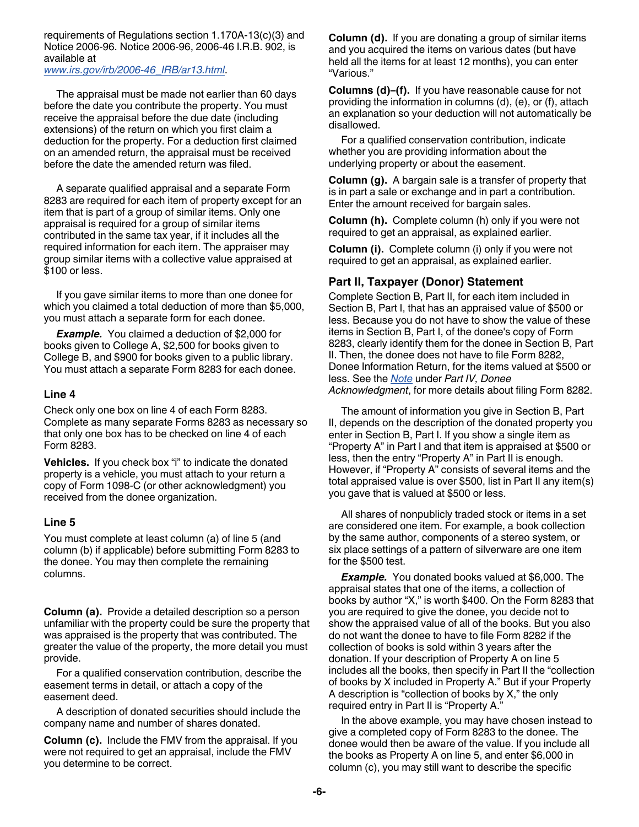<span id="page-5-0"></span>requirements of Regulations section 1.170A-13(c)(3) and Notice 2006-96. Notice 2006-96, 2006-46 I.R.B. 902, is available at

*[www.irs.gov/irb/2006-46\\_IRB/ar13.html](http://www.irs.gov/irb/2006-46_IRB/ar13.html)*.

The appraisal must be made not earlier than 60 days before the date you contribute the property. You must receive the appraisal before the due date (including extensions) of the return on which you first claim a deduction for the property. For a deduction first claimed on an amended return, the appraisal must be received before the date the amended return was filed.

A separate qualified appraisal and a separate Form 8283 are required for each item of property except for an item that is part of a group of similar items. Only one appraisal is required for a group of similar items contributed in the same tax year, if it includes all the required information for each item. The appraiser may group similar items with a collective value appraised at \$100 or less.

If you gave similar items to more than one donee for which you claimed a total deduction of more than \$5,000, you must attach a separate form for each donee.

**Example.** You claimed a deduction of \$2,000 for books given to College A, \$2,500 for books given to College B, and \$900 for books given to a public library. You must attach a separate Form 8283 for each donee.

#### **Line 4**

Check only one box on line 4 of each Form 8283. Complete as many separate Forms 8283 as necessary so that only one box has to be checked on line 4 of each Form 8283.

**Vehicles.** If you check box "i" to indicate the donated property is a vehicle, you must attach to your return a copy of Form 1098-C (or other acknowledgment) you received from the donee organization.

#### **Line 5**

You must complete at least column (a) of line 5 (and column (b) if applicable) before submitting Form 8283 to the donee. You may then complete the remaining columns.

**Column (a).** Provide a detailed description so a person unfamiliar with the property could be sure the property that was appraised is the property that was contributed. The greater the value of the property, the more detail you must provide.

For a qualified conservation contribution, describe the easement terms in detail, or attach a copy of the easement deed.

A description of donated securities should include the company name and number of shares donated.

**Column (c).** Include the FMV from the appraisal. If you were not required to get an appraisal, include the FMV you determine to be correct.

**Column (d).** If you are donating a group of similar items and you acquired the items on various dates (but have held all the items for at least 12 months), you can enter "Various."

**Columns (d)–(f).** If you have reasonable cause for not providing the information in columns (d), (e), or (f), attach an explanation so your deduction will not automatically be disallowed.

For a qualified conservation contribution, indicate whether you are providing information about the underlying property or about the easement.

**Column (g).** A bargain sale is a transfer of property that is in part a sale or exchange and in part a contribution. Enter the amount received for bargain sales.

**Column (h).** Complete column (h) only if you were not required to get an appraisal, as explained earlier.

**Column (i).** Complete column (i) only if you were not required to get an appraisal, as explained earlier.

## **Part II, Taxpayer (Donor) Statement**

Complete Section B, Part II, for each item included in Section B, Part I, that has an appraised value of \$500 or less. Because you do not have to show the value of these items in Section B, Part I, of the donee's copy of Form 8283, clearly identify them for the donee in Section B, Part II. Then, the donee does not have to file Form 8282, Donee Information Return, for the items valued at \$500 or less. See the *[Note](#page-6-0)* under *Part IV, Donee Acknowledgment*, for more details about filing Form 8282.

The amount of information you give in Section B, Part II, depends on the description of the donated property you enter in Section B, Part I. If you show a single item as "Property A" in Part I and that item is appraised at \$500 or less, then the entry "Property A" in Part II is enough. However, if "Property A" consists of several items and the total appraised value is over \$500, list in Part II any item(s) you gave that is valued at \$500 or less.

All shares of nonpublicly traded stock or items in a set are considered one item. For example, a book collection by the same author, components of a stereo system, or six place settings of a pattern of silverware are one item for the \$500 test.

**Example.** You donated books valued at \$6,000. The appraisal states that one of the items, a collection of books by author "X," is worth \$400. On the Form 8283 that you are required to give the donee, you decide not to show the appraised value of all of the books. But you also do not want the donee to have to file Form 8282 if the collection of books is sold within 3 years after the donation. If your description of Property A on line 5 includes all the books, then specify in Part II the "collection of books by X included in Property A." But if your Property A description is "collection of books by X," the only required entry in Part II is "Property A."

In the above example, you may have chosen instead to give a completed copy of Form 8283 to the donee. The donee would then be aware of the value. If you include all the books as Property A on line 5, and enter \$6,000 in column (c), you may still want to describe the specific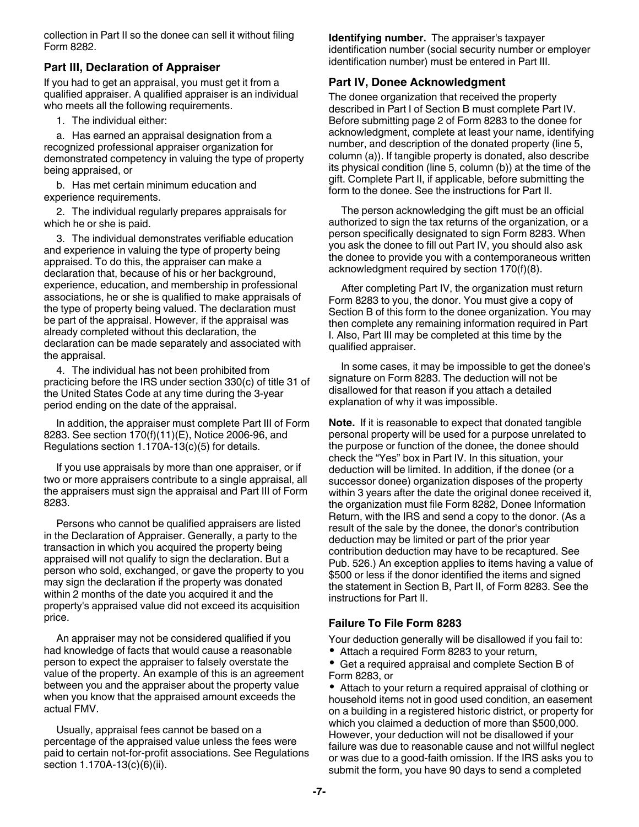<span id="page-6-0"></span>collection in Part II so the donee can sell it without filing Form 8282.

## **Part III, Declaration of Appraiser**

If you had to get an appraisal, you must get it from a qualified appraiser. A qualified appraiser is an individual who meets all the following requirements.

1. The individual either:

a. Has earned an appraisal designation from a recognized professional appraiser organization for demonstrated competency in valuing the type of property being appraised, or

b. Has met certain minimum education and experience requirements.

2. The individual regularly prepares appraisals for which he or she is paid.

3. The individual demonstrates verifiable education and experience in valuing the type of property being appraised. To do this, the appraiser can make a declaration that, because of his or her background, experience, education, and membership in professional associations, he or she is qualified to make appraisals of the type of property being valued. The declaration must be part of the appraisal. However, if the appraisal was already completed without this declaration, the declaration can be made separately and associated with the appraisal.

4. The individual has not been prohibited from practicing before the IRS under section 330(c) of title 31 of the United States Code at any time during the 3-year period ending on the date of the appraisal.

In addition, the appraiser must complete Part III of Form 8283. See section 170(f)(11)(E), Notice 2006-96, and Regulations section 1.170A-13(c)(5) for details.

If you use appraisals by more than one appraiser, or if two or more appraisers contribute to a single appraisal, all the appraisers must sign the appraisal and Part III of Form 8283.

Persons who cannot be qualified appraisers are listed in the Declaration of Appraiser. Generally, a party to the transaction in which you acquired the property being appraised will not qualify to sign the declaration. But a person who sold, exchanged, or gave the property to you may sign the declaration if the property was donated within 2 months of the date you acquired it and the property's appraised value did not exceed its acquisition price.

An appraiser may not be considered qualified if you had knowledge of facts that would cause a reasonable person to expect the appraiser to falsely overstate the value of the property. An example of this is an agreement between you and the appraiser about the property value when you know that the appraised amount exceeds the actual FMV.

Usually, appraisal fees cannot be based on a percentage of the appraised value unless the fees were paid to certain not-for-profit associations. See Regulations section 1.170A-13(c)(6)(ii).

**Identifying number.** The appraiser's taxpayer identification number (social security number or employer identification number) must be entered in Part III.

#### **Part IV, Donee Acknowledgment**

The donee organization that received the property described in Part I of Section B must complete Part IV. Before submitting page 2 of Form 8283 to the donee for acknowledgment, complete at least your name, identifying number, and description of the donated property (line 5, column (a)). If tangible property is donated, also describe its physical condition (line 5, column (b)) at the time of the gift. Complete Part II, if applicable, before submitting the form to the donee. See the instructions for Part II.

The person acknowledging the gift must be an official authorized to sign the tax returns of the organization, or a person specifically designated to sign Form 8283. When you ask the donee to fill out Part IV, you should also ask the donee to provide you with a contemporaneous written acknowledgment required by section 170(f)(8).

After completing Part IV, the organization must return Form 8283 to you, the donor. You must give a copy of Section B of this form to the donee organization. You may then complete any remaining information required in Part I. Also, Part III may be completed at this time by the qualified appraiser.

In some cases, it may be impossible to get the donee's signature on Form 8283. The deduction will not be disallowed for that reason if you attach a detailed explanation of why it was impossible.

**Note.** If it is reasonable to expect that donated tangible personal property will be used for a purpose unrelated to the purpose or function of the donee, the donee should check the "Yes" box in Part IV. In this situation, your deduction will be limited. In addition, if the donee (or a successor donee) organization disposes of the property within 3 years after the date the original donee received it, the organization must file Form 8282, Donee Information Return, with the IRS and send a copy to the donor. (As a result of the sale by the donee, the donor's contribution deduction may be limited or part of the prior year contribution deduction may have to be recaptured. See Pub. 526.) An exception applies to items having a value of \$500 or less if the donor identified the items and signed the statement in Section B, Part II, of Form 8283. See the instructions for Part II.

### **Failure To File Form 8283**

Your deduction generally will be disallowed if you fail to:

Attach a required Form 8283 to your return,

Get a required appraisal and complete Section B of Form 8283, or

Attach to your return a required appraisal of clothing or household items not in good used condition, an easement on a building in a registered historic district, or property for which you claimed a deduction of more than \$500,000. However, your deduction will not be disallowed if your failure was due to reasonable cause and not willful neglect or was due to a good-faith omission. If the IRS asks you to submit the form, you have 90 days to send a completed